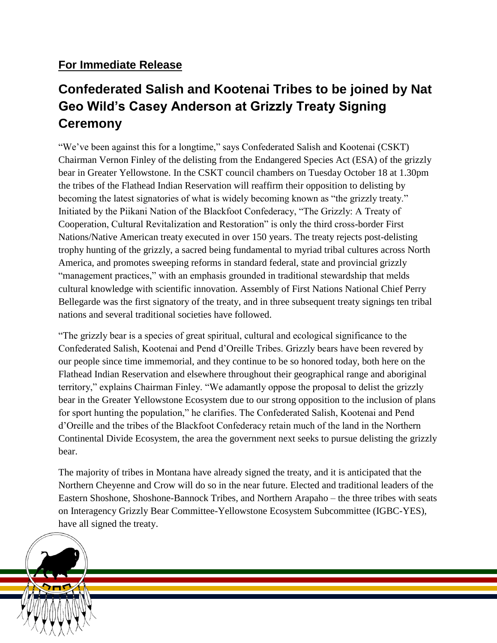## **For Immediate Release**

## **Confederated Salish and Kootenai Tribes to be joined by Nat Geo Wild's Casey Anderson at Grizzly Treaty Signing Ceremony**

"We've been against this for a longtime," says Confederated Salish and Kootenai (CSKT) Chairman Vernon Finley of the delisting from the Endangered Species Act (ESA) of the grizzly bear in Greater Yellowstone. In the CSKT council chambers on Tuesday October 18 at 1.30pm the tribes of the Flathead Indian Reservation will reaffirm their opposition to delisting by becoming the latest signatories of what is widely becoming known as "the grizzly treaty." Initiated by the Piikani Nation of the Blackfoot Confederacy, "The Grizzly: A Treaty of Cooperation, Cultural Revitalization and Restoration" is only the third cross-border First Nations/Native American treaty executed in over 150 years. The treaty rejects post-delisting trophy hunting of the grizzly, a sacred being fundamental to myriad tribal cultures across North America, and promotes sweeping reforms in standard federal, state and provincial grizzly "management practices," with an emphasis grounded in traditional stewardship that melds cultural knowledge with scientific innovation. Assembly of First Nations National Chief Perry Bellegarde was the first signatory of the treaty, and in three subsequent treaty signings ten tribal nations and several traditional societies have followed.

"The grizzly bear is a species of great spiritual, cultural and ecological significance to the Confederated Salish, Kootenai and Pend d'Oreille Tribes. Grizzly bears have been revered by our people since time immemorial, and they continue to be so honored today, both here on the Flathead Indian Reservation and elsewhere throughout their geographical range and aboriginal territory," explains Chairman Finley. "We adamantly oppose the proposal to delist the grizzly bear in the Greater Yellowstone Ecosystem due to our strong opposition to the inclusion of plans for sport hunting the population," he clarifies. The Confederated Salish, Kootenai and Pend d'Oreille and the tribes of the Blackfoot Confederacy retain much of the land in the Northern Continental Divide Ecosystem, the area the government next seeks to pursue delisting the grizzly bear.

The majority of tribes in Montana have already signed the treaty, and it is anticipated that the Northern Cheyenne and Crow will do so in the near future. Elected and traditional leaders of the Eastern Shoshone, Shoshone-Bannock Tribes, and Northern Arapaho – the three tribes with seats on Interagency Grizzly Bear Committee-Yellowstone Ecosystem Subcommittee (IGBC-YES), have all signed the treaty.

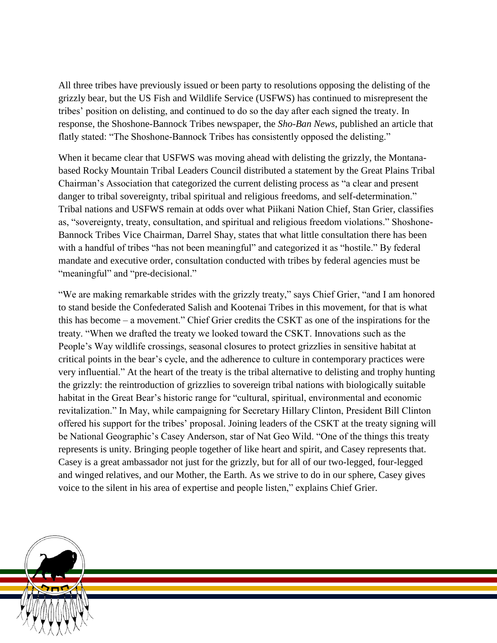All three tribes have previously issued or been party to resolutions opposing the delisting of the grizzly bear, but the US Fish and Wildlife Service (USFWS) has continued to misrepresent the tribes' position on delisting, and continued to do so the day after each signed the treaty. In response, the Shoshone-Bannock Tribes newspaper, the *Sho-Ban News*, published an article that flatly stated: "The Shoshone-Bannock Tribes has consistently opposed the delisting."

When it became clear that USFWS was moving ahead with delisting the grizzly, the Montanabased Rocky Mountain Tribal Leaders Council distributed a statement by the Great Plains Tribal Chairman's Association that categorized the current delisting process as "a clear and present danger to tribal sovereignty, tribal spiritual and religious freedoms, and self-determination." Tribal nations and USFWS remain at odds over what Piikani Nation Chief, Stan Grier, classifies as, "sovereignty, treaty, consultation, and spiritual and religious freedom violations." Shoshone-Bannock Tribes Vice Chairman, Darrel Shay, states that what little consultation there has been with a handful of tribes "has not been meaningful" and categorized it as "hostile." By federal mandate and executive order, consultation conducted with tribes by federal agencies must be "meaningful" and "pre-decisional."

"We are making remarkable strides with the grizzly treaty," says Chief Grier, "and I am honored to stand beside the Confederated Salish and Kootenai Tribes in this movement, for that is what this has become – a movement." Chief Grier credits the CSKT as one of the inspirations for the treaty. "When we drafted the treaty we looked toward the CSKT. Innovations such as the People's Way wildlife crossings, seasonal closures to protect grizzlies in sensitive habitat at critical points in the bear's cycle, and the adherence to culture in contemporary practices were very influential." At the heart of the treaty is the tribal alternative to delisting and trophy hunting the grizzly: the reintroduction of grizzlies to sovereign tribal nations with biologically suitable habitat in the Great Bear's historic range for "cultural, spiritual, environmental and economic revitalization." In May, while campaigning for Secretary Hillary Clinton, President Bill Clinton offered his support for the tribes' proposal. Joining leaders of the CSKT at the treaty signing will be National Geographic's Casey Anderson, star of Nat Geo Wild. "One of the things this treaty represents is unity. Bringing people together of like heart and spirit, and Casey represents that. Casey is a great ambassador not just for the grizzly, but for all of our two-legged, four-legged and winged relatives, and our Mother, the Earth. As we strive to do in our sphere, Casey gives voice to the silent in his area of expertise and people listen," explains Chief Grier.